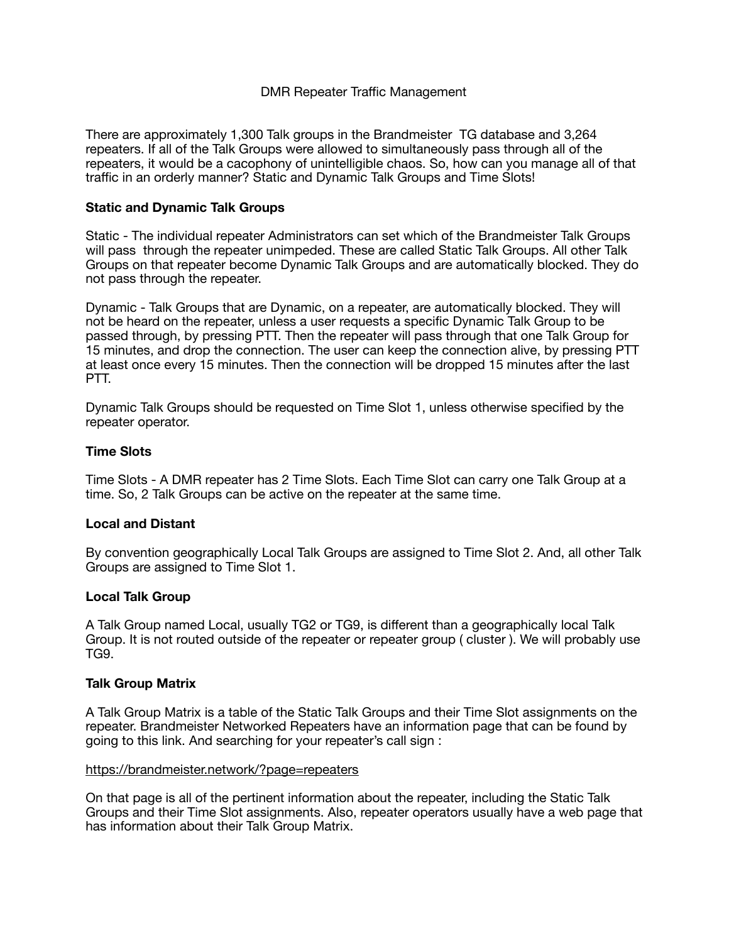# DMR Repeater Traffic Management

There are approximately 1,300 Talk groups in the Brandmeister TG database and 3,264 repeaters. If all of the Talk Groups were allowed to simultaneously pass through all of the repeaters, it would be a cacophony of unintelligible chaos. So, how can you manage all of that traffic in an orderly manner? Static and Dynamic Talk Groups and Time Slots!

## **Static and Dynamic Talk Groups**

Static - The individual repeater Administrators can set which of the Brandmeister Talk Groups will pass through the repeater unimpeded. These are called Static Talk Groups. All other Talk Groups on that repeater become Dynamic Talk Groups and are automatically blocked. They do not pass through the repeater.

Dynamic - Talk Groups that are Dynamic, on a repeater, are automatically blocked. They will not be heard on the repeater, unless a user requests a specific Dynamic Talk Group to be passed through, by pressing PTT. Then the repeater will pass through that one Talk Group for 15 minutes, and drop the connection. The user can keep the connection alive, by pressing PTT at least once every 15 minutes. Then the connection will be dropped 15 minutes after the last PTT.

Dynamic Talk Groups should be requested on Time Slot 1, unless otherwise specified by the repeater operator.

### **Time Slots**

Time Slots - A DMR repeater has 2 Time Slots. Each Time Slot can carry one Talk Group at a time. So, 2 Talk Groups can be active on the repeater at the same time.

## **Local and Distant**

By convention geographically Local Talk Groups are assigned to Time Slot 2. And, all other Talk Groups are assigned to Time Slot 1.

#### **Local Talk Group**

A Talk Group named Local, usually TG2 or TG9, is different than a geographically local Talk Group. It is not routed outside of the repeater or repeater group ( cluster ). We will probably use TG9.

#### **Talk Group Matrix**

A Talk Group Matrix is a table of the Static Talk Groups and their Time Slot assignments on the repeater. Brandmeister Networked Repeaters have an information page that can be found by going to this link. And searching for your repeater's call sign :

#### <https://brandmeister.network/?page=repeaters>

On that page is all of the pertinent information about the repeater, including the Static Talk Groups and their Time Slot assignments. Also, repeater operators usually have a web page that has information about their Talk Group Matrix.